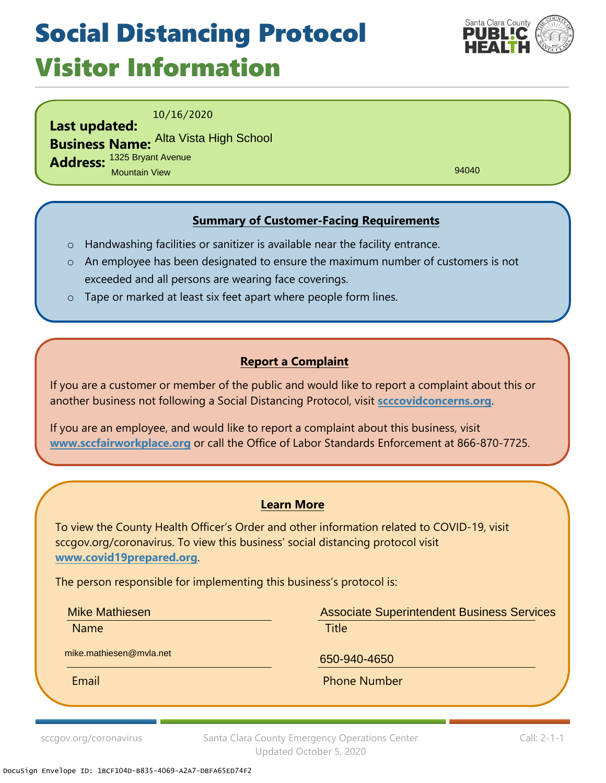## Social Distancing Protocol Visitor Information



10/16/2020

**Last updated: Business Name:** Alta Vista High School **Address:** 1325 Bryant Avenue Mountain View

94040

### **Summary of Customer-Facing Requirements**

- o Handwashing facilities or sanitizer is available near the facility entrance.
- o An employee has been designated to ensure the maximum number of customers is not exceeded and all persons are wearing face coverings.
- o Tape or marked at least six feet apart where people form lines.

### **Report a Complaint**

If you are a customer or member of the public and would like to report a complaint about this or another business not following a Social Distancing Protocol, visit **scccovidconcerns.org**.

If you are an employee, and would like to report a complaint about this business, visit **www.sccfairworkplace.org** or call the Office of Labor Standards Enforcement at 866-870-7725.

#### **Learn More**

To view the County Health Officer's Order and other information related to COVID-19, visit sccgov.org/coronavirus. To view this business' social distancing protocol visit **www.covid19prepared.org**.

The person responsible for implementing this business's protocol is:

Mike Mathiesen

Name **Name is a structure of the Contract Contract Contract Contract Contract Contract Contract Contract Contra** 

Associate Superintendent Business Services

mike.mathiesen@mvla.net

650-940-4650

Email **Email** Phone Number

sccgov.org/coronavirus Santa Clara County Emergency Operations Center Updated October 5, 2020